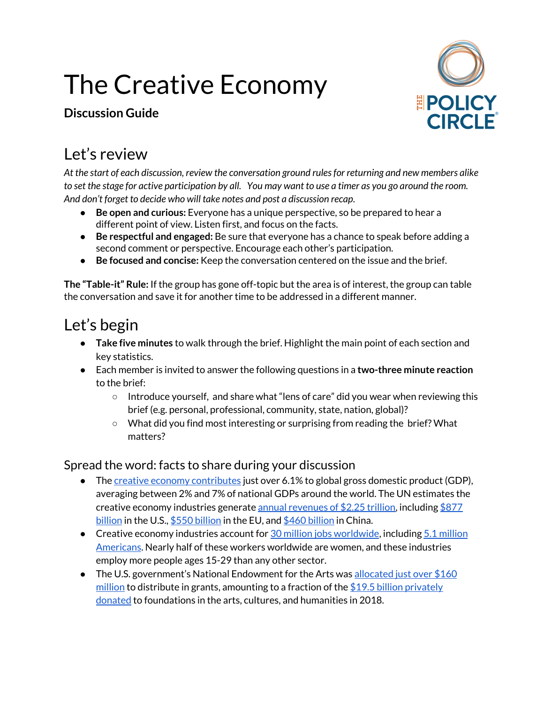# The Creative Economy

#### **Discussion Guide**



### Let's review

*At the start of each discussion, review the conversation ground rulesfor returning and new members alike* to set the stage for active participation by all. You may want to use a timer as you go around the room. *And don't forget to decide who will take notes and post a discussion recap.*

- **Be open and curious:** Everyone has a unique perspective, so be prepared to hear a different point of view. Listen first, and focus on the facts.
- **Be respectful and engaged:** Be sure that everyone has a chance to speak before adding a second comment or perspective. Encourage each other's participation.
- **Be focused and concise:** Keep the conversation centered on the issue and the brief.

**The "Table-it" Rule:** If the group has gone off-topic but the area is of interest, the group can table the conversation and save it for another time to be addressed in a different manner.

# Let's begin

- **Take five minutes** to walk through the brief. Highlight the main point of each section and key statistics.
- Each member is invited to answer the following questions in a **two-three minute reaction** to the brief:
	- Introduce yourself, and share what "lens of care" did you wear when reviewing this brief (e.g. personal, professional, community, state, nation, global)?
	- What did you find most interesting or surprising from reading the brief? What matters?

#### Spread the word: facts to share during your discussion

- The creative economy [contributes](https://www.ie.edu/insights/articles/the-creative-economy-the-new-dorado-that-europe-and-latin-america-want-to-lead/) just over 6.1% to global gross domestic product (GDP), averaging between 2% and 7% of national GDPs around the world. The UN estimates the creative economy industries generate annual [revenues](https://en.unesco.org/creativity/sites/creativity/files/global_report_fact_sheet_en.pdf) of  $$2.25$  trillion, including  $$877$ [billion](https://unctad.org/en/pages/newsdetails.aspx?OriginalVersionID=1836&Sitemap_x0020_Taxonomy=UNCTAD%20Home;#:~:targetText=China%20has%20consistently%20moved%20toward,and%20reported%20by%20China%20Daily.) in the U.S., \$550 billion in the EU, and \$460 billion in China.
- Creative economy industries account for 30 million jobs [worldwide,](https://en.unesco.org/creativity/sites/creativity/files/global_report_fact_sheet_en.pdf) including 5.1 [million](https://nasaa-arts.org/nasaa_research/facts-figures-on-the-creative-economy/) [Americans](https://nasaa-arts.org/nasaa_research/facts-figures-on-the-creative-economy/). Nearly half of these workers worldwide are women, and these industries employ more people ages 15-29 than any other sector.
- The U.S. government's National Endowment for the Arts was [allocated](https://www.art-critique.com/en/2020/01/nea-receives-162-million-in-funding/) just over  $$160$ [million](https://www.art-critique.com/en/2020/01/nea-receives-162-million-in-funding/) to distribute in grants, amounting to a fraction of the \$19.5 billion [privately](https://www.barrons.com/articles/how-arts-philanthropy-is-changing-01584045590) [donated](https://www.barrons.com/articles/how-arts-philanthropy-is-changing-01584045590) to foundations in the arts, cultures, and humanities in 2018.